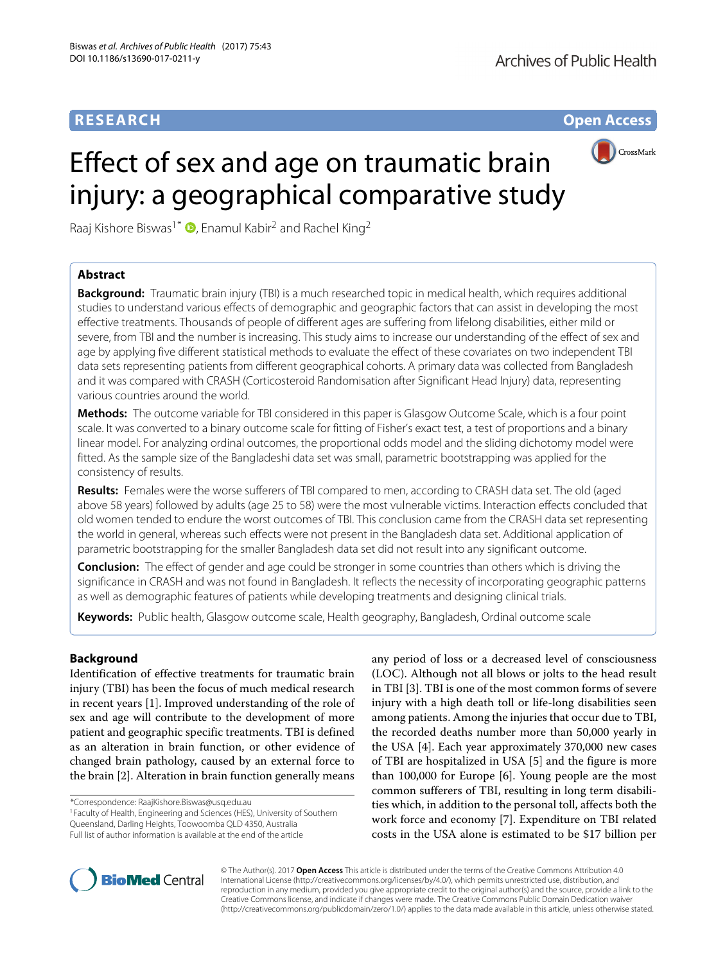# **RESEARCH Open Access**



# Effect of sex and age on traumatic brain injury: a geographical comparative study

Raaj Kishore Biswas<sup>1\*</sup> <sup>(D</sup>[,](http://orcid.org/0000-0003-4294-6323) Enamul Kabir<sup>2</sup> and Rachel King<sup>2</sup>

# **Abstract**

**Background:** Traumatic brain injury (TBI) is a much researched topic in medical health, which requires additional studies to understand various effects of demographic and geographic factors that can assist in developing the most effective treatments. Thousands of people of different ages are suffering from lifelong disabilities, either mild or severe, from TBI and the number is increasing. This study aims to increase our understanding of the effect of sex and age by applying five different statistical methods to evaluate the effect of these covariates on two independent TBI data sets representing patients from different geographical cohorts. A primary data was collected from Bangladesh and it was compared with CRASH (Corticosteroid Randomisation after Significant Head Injury) data, representing various countries around the world.

**Methods:** The outcome variable for TBI considered in this paper is Glasgow Outcome Scale, which is a four point scale. It was converted to a binary outcome scale for fitting of Fisher's exact test, a test of proportions and a binary linear model. For analyzing ordinal outcomes, the proportional odds model and the sliding dichotomy model were fitted. As the sample size of the Bangladeshi data set was small, parametric bootstrapping was applied for the consistency of results.

**Results:** Females were the worse sufferers of TBI compared to men, according to CRASH data set. The old (aged above 58 years) followed by adults (age 25 to 58) were the most vulnerable victims. Interaction effects concluded that old women tended to endure the worst outcomes of TBI. This conclusion came from the CRASH data set representing the world in general, whereas such effects were not present in the Bangladesh data set. Additional application of parametric bootstrapping for the smaller Bangladesh data set did not result into any significant outcome.

**Conclusion:** The effect of gender and age could be stronger in some countries than others which is driving the significance in CRASH and was not found in Bangladesh. It reflects the necessity of incorporating geographic patterns as well as demographic features of patients while developing treatments and designing clinical trials.

**Keywords:** Public health, Glasgow outcome scale, Health geography, Bangladesh, Ordinal outcome scale

# **Background**

Identification of effective treatments for traumatic brain injury (TBI) has been the focus of much medical research in recent years [\[1\]](#page-9-0). Improved understanding of the role of sex and age will contribute to the development of more patient and geographic specific treatments. TBI is defined as an alteration in brain function, or other evidence of changed brain pathology, caused by an external force to the brain [\[2\]](#page-9-1). Alteration in brain function generally means

\*Correspondence: [RaajKishore.Biswas@usq.edu.au](mailto: RaajKishore.Biswas@usq.edu.au)

any period of loss or a decreased level of consciousness (LOC). Although not all blows or jolts to the head result in TBI [\[3\]](#page-9-2). TBI is one of the most common forms of severe injury with a high death toll or life-long disabilities seen among patients. Among the injuries that occur due to TBI, the recorded deaths number more than 50,000 yearly in the USA [\[4\]](#page-9-3). Each year approximately 370,000 new cases of TBI are hospitalized in USA [\[5\]](#page-9-4) and the figure is more than 100,000 for Europe [\[6\]](#page-9-5). Young people are the most common sufferers of TBI, resulting in long term disabilities which, in addition to the personal toll, affects both the work force and economy [\[7\]](#page-9-6). Expenditure on TBI related costs in the USA alone is estimated to be \$17 billion per



© The Author(s). 2017 **Open Access** This article is distributed under the terms of the Creative Commons Attribution 4.0 International License [\(http://creativecommons.org/licenses/by/4.0/\)](http://creativecommons.org/licenses/by/4.0/), which permits unrestricted use, distribution, and reproduction in any medium, provided you give appropriate credit to the original author(s) and the source, provide a link to the Creative Commons license, and indicate if changes were made. The Creative Commons Public Domain Dedication waiver [\(http://creativecommons.org/publicdomain/zero/1.0/\)](http://creativecommons.org/publicdomain/zero/1.0/) applies to the data made available in this article, unless otherwise stated.

<sup>1</sup>Faculty of Health, Engineering and Sciences (HES), University of Southern Queensland, Darling Heights, Toowoomba QLD 4350, Australia Full list of author information is available at the end of the article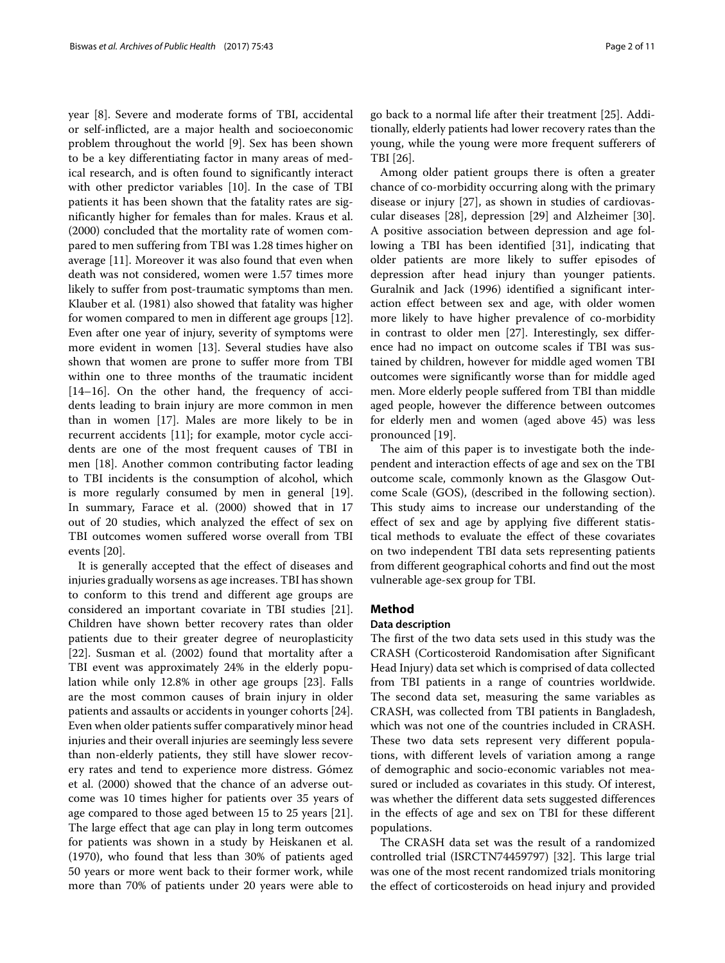year [\[8\]](#page-9-7). Severe and moderate forms of TBI, accidental or self-inflicted, are a major health and socioeconomic problem throughout the world [\[9\]](#page-9-8). Sex has been shown to be a key differentiating factor in many areas of medical research, and is often found to significantly interact with other predictor variables [\[10\]](#page-9-9). In the case of TBI patients it has been shown that the fatality rates are significantly higher for females than for males. Kraus et al. (2000) concluded that the mortality rate of women compared to men suffering from TBI was 1.28 times higher on average [\[11\]](#page-9-10). Moreover it was also found that even when death was not considered, women were 1.57 times more likely to suffer from post-traumatic symptoms than men. Klauber et al. (1981) also showed that fatality was higher for women compared to men in different age groups [\[12\]](#page-9-11). Even after one year of injury, severity of symptoms were more evident in women [\[13\]](#page-9-12). Several studies have also shown that women are prone to suffer more from TBI within one to three months of the traumatic incident [\[14](#page-9-13)[–16\]](#page-9-14). On the other hand, the frequency of accidents leading to brain injury are more common in men than in women [\[17\]](#page-9-15). Males are more likely to be in recurrent accidents [\[11\]](#page-9-10); for example, motor cycle accidents are one of the most frequent causes of TBI in men [\[18\]](#page-9-16). Another common contributing factor leading to TBI incidents is the consumption of alcohol, which is more regularly consumed by men in general [\[19\]](#page-9-17). In summary, Farace et al. (2000) showed that in 17 out of 20 studies, which analyzed the effect of sex on TBI outcomes women suffered worse overall from TBI events [\[20\]](#page-9-18).

It is generally accepted that the effect of diseases and injuries gradually worsens as age increases. TBI has shown to conform to this trend and different age groups are considered an important covariate in TBI studies [\[21\]](#page-9-19). Children have shown better recovery rates than older patients due to their greater degree of neuroplasticity [\[22\]](#page-9-20). Susman et al. (2002) found that mortality after a TBI event was approximately 24% in the elderly population while only 12.8% in other age groups [\[23\]](#page-9-21). Falls are the most common causes of brain injury in older patients and assaults or accidents in younger cohorts [\[24\]](#page-9-22). Even when older patients suffer comparatively minor head injuries and their overall injuries are seemingly less severe than non-elderly patients, they still have slower recovery rates and tend to experience more distress. Gómez et al. (2000) showed that the chance of an adverse outcome was 10 times higher for patients over 35 years of age compared to those aged between 15 to 25 years [\[21\]](#page-9-19). The large effect that age can play in long term outcomes for patients was shown in a study by Heiskanen et al. (1970), who found that less than 30% of patients aged 50 years or more went back to their former work, while more than 70% of patients under 20 years were able to

go back to a normal life after their treatment [\[25\]](#page-9-23). Additionally, elderly patients had lower recovery rates than the young, while the young were more frequent sufferers of TBI [\[26\]](#page-9-24).

Among older patient groups there is often a greater chance of co-morbidity occurring along with the primary disease or injury [\[27\]](#page-9-25), as shown in studies of cardiovascular diseases [\[28\]](#page-9-26), depression [\[29\]](#page-9-27) and Alzheimer [\[30\]](#page-9-28). A positive association between depression and age following a TBI has been identified [\[31\]](#page-9-29), indicating that older patients are more likely to suffer episodes of depression after head injury than younger patients. Guralnik and Jack (1996) identified a significant interaction effect between sex and age, with older women more likely to have higher prevalence of co-morbidity in contrast to older men [\[27\]](#page-9-25). Interestingly, sex difference had no impact on outcome scales if TBI was sustained by children, however for middle aged women TBI outcomes were significantly worse than for middle aged men. More elderly people suffered from TBI than middle aged people, however the difference between outcomes for elderly men and women (aged above 45) was less pronounced [\[19\]](#page-9-17).

The aim of this paper is to investigate both the independent and interaction effects of age and sex on the TBI outcome scale, commonly known as the Glasgow Outcome Scale (GOS), (described in the following section). This study aims to increase our understanding of the effect of sex and age by applying five different statistical methods to evaluate the effect of these covariates on two independent TBI data sets representing patients from different geographical cohorts and find out the most vulnerable age-sex group for TBI.

# **Method**

## **Data description**

The first of the two data sets used in this study was the CRASH (Corticosteroid Randomisation after Significant Head Injury) data set which is comprised of data collected from TBI patients in a range of countries worldwide. The second data set, measuring the same variables as CRASH, was collected from TBI patients in Bangladesh, which was not one of the countries included in CRASH. These two data sets represent very different populations, with different levels of variation among a range of demographic and socio-economic variables not measured or included as covariates in this study. Of interest, was whether the different data sets suggested differences in the effects of age and sex on TBI for these different populations.

The CRASH data set was the result of a randomized controlled trial (ISRCTN74459797) [\[32\]](#page-9-30). This large trial was one of the most recent randomized trials monitoring the effect of corticosteroids on head injury and provided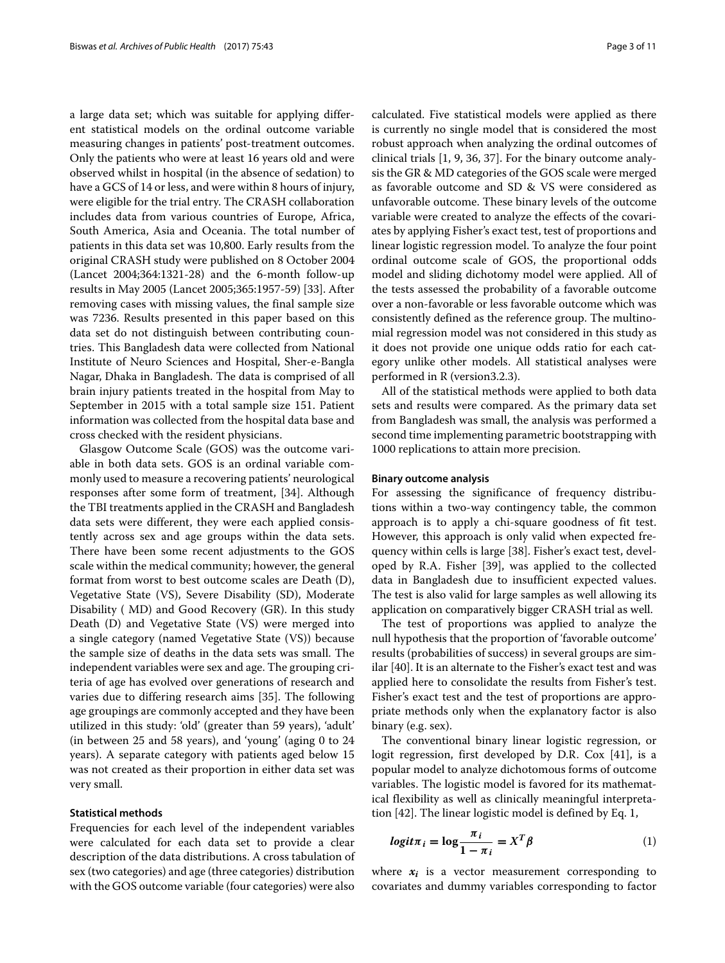a large data set; which was suitable for applying different statistical models on the ordinal outcome variable measuring changes in patients' post-treatment outcomes. Only the patients who were at least 16 years old and were observed whilst in hospital (in the absence of sedation) to have a GCS of 14 or less, and were within 8 hours of injury, were eligible for the trial entry. The CRASH collaboration includes data from various countries of Europe, Africa, South America, Asia and Oceania. The total number of patients in this data set was 10,800. Early results from the original CRASH study were published on 8 October 2004 (Lancet 2004;364:1321-28) and the 6-month follow-up results in May 2005 (Lancet 2005;365:1957-59) [\[33\]](#page-9-31). After removing cases with missing values, the final sample size was 7236. Results presented in this paper based on this data set do not distinguish between contributing countries. This Bangladesh data were collected from National Institute of Neuro Sciences and Hospital, Sher-e-Bangla Nagar, Dhaka in Bangladesh. The data is comprised of all brain injury patients treated in the hospital from May to September in 2015 with a total sample size 151. Patient information was collected from the hospital data base and cross checked with the resident physicians.

Glasgow Outcome Scale (GOS) was the outcome variable in both data sets. GOS is an ordinal variable commonly used to measure a recovering patients' neurological responses after some form of treatment, [\[34\]](#page-9-32). Although the TBI treatments applied in the CRASH and Bangladesh data sets were different, they were each applied consistently across sex and age groups within the data sets. There have been some recent adjustments to the GOS scale within the medical community; however, the general format from worst to best outcome scales are Death (D), Vegetative State (VS), Severe Disability (SD), Moderate Disability ( MD) and Good Recovery (GR). In this study Death (D) and Vegetative State (VS) were merged into a single category (named Vegetative State (VS)) because the sample size of deaths in the data sets was small. The independent variables were sex and age. The grouping criteria of age has evolved over generations of research and varies due to differing research aims [\[35\]](#page-9-33). The following age groupings are commonly accepted and they have been utilized in this study: 'old' (greater than 59 years), 'adult' (in between 25 and 58 years), and 'young' (aging 0 to 24 years). A separate category with patients aged below 15 was not created as their proportion in either data set was very small.

## **Statistical methods**

Frequencies for each level of the independent variables were calculated for each data set to provide a clear description of the data distributions. A cross tabulation of sex (two categories) and age (three categories) distribution with the GOS outcome variable (four categories) were also

calculated. Five statistical models were applied as there is currently no single model that is considered the most robust approach when analyzing the ordinal outcomes of clinical trials [\[1,](#page-9-0) [9,](#page-9-8) [36,](#page-9-34) [37\]](#page-9-35). For the binary outcome analysis the GR & MD categories of the GOS scale were merged as favorable outcome and SD & VS were considered as unfavorable outcome. These binary levels of the outcome variable were created to analyze the effects of the covariates by applying Fisher's exact test, test of proportions and linear logistic regression model. To analyze the four point ordinal outcome scale of GOS, the proportional odds model and sliding dichotomy model were applied. All of the tests assessed the probability of a favorable outcome over a non-favorable or less favorable outcome which was consistently defined as the reference group. The multinomial regression model was not considered in this study as it does not provide one unique odds ratio for each category unlike other models. All statistical analyses were performed in R (version3.2.3).

All of the statistical methods were applied to both data sets and results were compared. As the primary data set from Bangladesh was small, the analysis was performed a second time implementing parametric bootstrapping with 1000 replications to attain more precision.

### **Binary outcome analysis**

For assessing the significance of frequency distributions within a two-way contingency table, the common approach is to apply a chi-square goodness of fit test. However, this approach is only valid when expected frequency within cells is large [\[38\]](#page-9-36). Fisher's exact test, developed by R.A. Fisher [\[39\]](#page-9-37), was applied to the collected data in Bangladesh due to insufficient expected values. The test is also valid for large samples as well allowing its application on comparatively bigger CRASH trial as well.

The test of proportions was applied to analyze the null hypothesis that the proportion of 'favorable outcome' results (probabilities of success) in several groups are similar [\[40\]](#page-9-38). It is an alternate to the Fisher's exact test and was applied here to consolidate the results from Fisher's test. Fisher's exact test and the test of proportions are appropriate methods only when the explanatory factor is also binary (e.g. sex).

The conventional binary linear logistic regression, or logit regression, first developed by D.R. Cox [\[41\]](#page-9-39), is a popular model to analyze dichotomous forms of outcome variables. The logistic model is favored for its mathematical flexibility as well as clinically meaningful interpretation [\[42\]](#page-10-0). The linear logistic model is defined by Eq. [1,](#page-2-0)

<span id="page-2-0"></span>
$$
logit\pi_i = \log \frac{\pi_i}{1 - \pi_i} = X^T \beta \tag{1}
$$

where  $x_i$  is a vector measurement corresponding to covariates and dummy variables corresponding to factor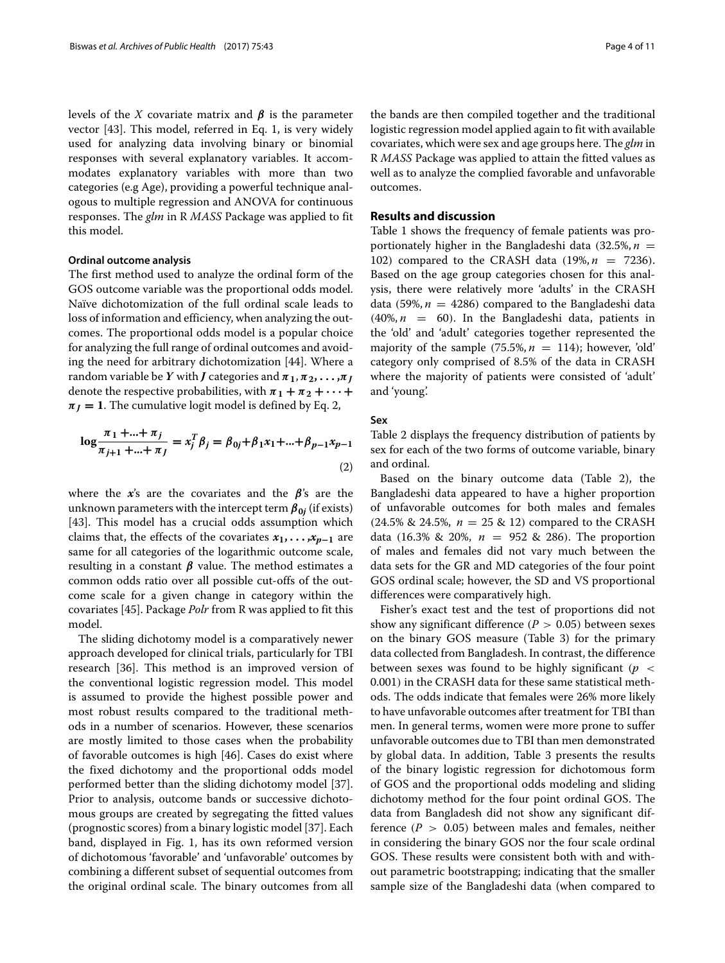levels of the *X* covariate matrix and *β* is the parameter vector [\[43\]](#page-10-1). This model, referred in Eq. [1,](#page-2-0) is very widely used for analyzing data involving binary or binomial responses with several explanatory variables. It accommodates explanatory variables with more than two categories (e.g Age), providing a powerful technique analogous to multiple regression and ANOVA for continuous responses. The *glm* in R *MASS* Package was applied to fit this model.

## **Ordinal outcome analysis**

The first method used to analyze the ordinal form of the GOS outcome variable was the proportional odds model. Naïve dichotomization of the full ordinal scale leads to loss of information and efficiency, when analyzing the outcomes. The proportional odds model is a popular choice for analyzing the full range of ordinal outcomes and avoiding the need for arbitrary dichotomization [\[44\]](#page-10-2). Where a random variable be *Y* with *J* categories and  $\pi_1, \pi_2, \ldots, \pi_J$ denote the respective probabilities, with  $\pi_1 + \pi_2 + \cdots$  $\pi$ *J* = 1. The cumulative logit model is defined by Eq. [2,](#page-3-0)

$$
\log \frac{\pi_1 + \dots + \pi_j}{\pi_{j+1} + \dots + \pi_j} = x_j^T \beta_j = \beta_{0j} + \beta_1 x_1 + \dots + \beta_{p-1} x_{p-1}
$$
\n(2)

where the *x*'s are the covariates and the *β*'s are the unknown parameters with the intercept term  $\beta_{0j}$  (if exists) [\[43\]](#page-10-1). This model has a crucial odds assumption which claims that, the effects of the covariates  $x_1, \ldots, x_{p-1}$  are same for all categories of the logarithmic outcome scale, resulting in a constant *β* value. The method estimates a common odds ratio over all possible cut-offs of the outcome scale for a given change in category within the covariates [\[45\]](#page-10-3). Package *Polr* from R was applied to fit this model.

The sliding dichotomy model is a comparatively newer approach developed for clinical trials, particularly for TBI research [\[36\]](#page-9-34). This method is an improved version of the conventional logistic regression model. This model is assumed to provide the highest possible power and most robust results compared to the traditional methods in a number of scenarios. However, these scenarios are mostly limited to those cases when the probability of favorable outcomes is high [\[46\]](#page-10-4). Cases do exist where the fixed dichotomy and the proportional odds model performed better than the sliding dichotomy model [\[37\]](#page-9-35). Prior to analysis, outcome bands or successive dichotomous groups are created by segregating the fitted values (prognostic scores) from a binary logistic model [\[37\]](#page-9-35). Each band, displayed in Fig. [1,](#page-4-0) has its own reformed version of dichotomous 'favorable' and 'unfavorable' outcomes by combining a different subset of sequential outcomes from the original ordinal scale. The binary outcomes from all

the bands are then compiled together and the traditional logistic regression model applied again to fit with available covariates, which were sex and age groups here. The *glm* in R *MASS* Package was applied to attain the fitted values as well as to analyze the complied favorable and unfavorable outcomes.

# **Results and discussion**

Table [1](#page-4-1) shows the frequency of female patients was proportionately higher in the Bangladeshi data  $(32.5\%, n =$ 102) compared to the CRASH data  $(19\%, n = 7236)$ . Based on the age group categories chosen for this analysis, there were relatively more 'adults' in the CRASH data  $(59\%, n = 4286)$  compared to the Bangladeshi data (40%,  $n = 60$ ). In the Bangladeshi data, patients in the 'old' and 'adult' categories together represented the majority of the sample  $(75.5\%, n = 114)$ ; however, 'old' category only comprised of 8.5% of the data in CRASH where the majority of patients were consisted of 'adult' and 'young'.

## <span id="page-3-0"></span>**Sex**

Table [2](#page-5-0) displays the frequency distribution of patients by sex for each of the two forms of outcome variable, binary and ordinal.

Based on the binary outcome data (Table [2\)](#page-5-0), the Bangladeshi data appeared to have a higher proportion of unfavorable outcomes for both males and females  $(24.5\% \& 24.5\%, n = 25 \& 12)$  compared to the CRASH data (16.3% & 20%, *n* = 952 & 286). The proportion of males and females did not vary much between the data sets for the GR and MD categories of the four point GOS ordinal scale; however, the SD and VS proportional differences were comparatively high.

Fisher's exact test and the test of proportions did not show any significant difference  $(P > 0.05)$  between sexes on the binary GOS measure (Table [3\)](#page-5-1) for the primary data collected from Bangladesh. In contrast, the difference between sexes was found to be highly significant (*p* < 0.001) in the CRASH data for these same statistical methods. The odds indicate that females were 26% more likely to have unfavorable outcomes after treatment for TBI than men. In general terms, women were more prone to suffer unfavorable outcomes due to TBI than men demonstrated by global data. In addition, Table [3](#page-5-1) presents the results of the binary logistic regression for dichotomous form of GOS and the proportional odds modeling and sliding dichotomy method for the four point ordinal GOS. The data from Bangladesh did not show any significant difference  $(P > 0.05)$  between males and females, neither in considering the binary GOS nor the four scale ordinal GOS. These results were consistent both with and without parametric bootstrapping; indicating that the smaller sample size of the Bangladeshi data (when compared to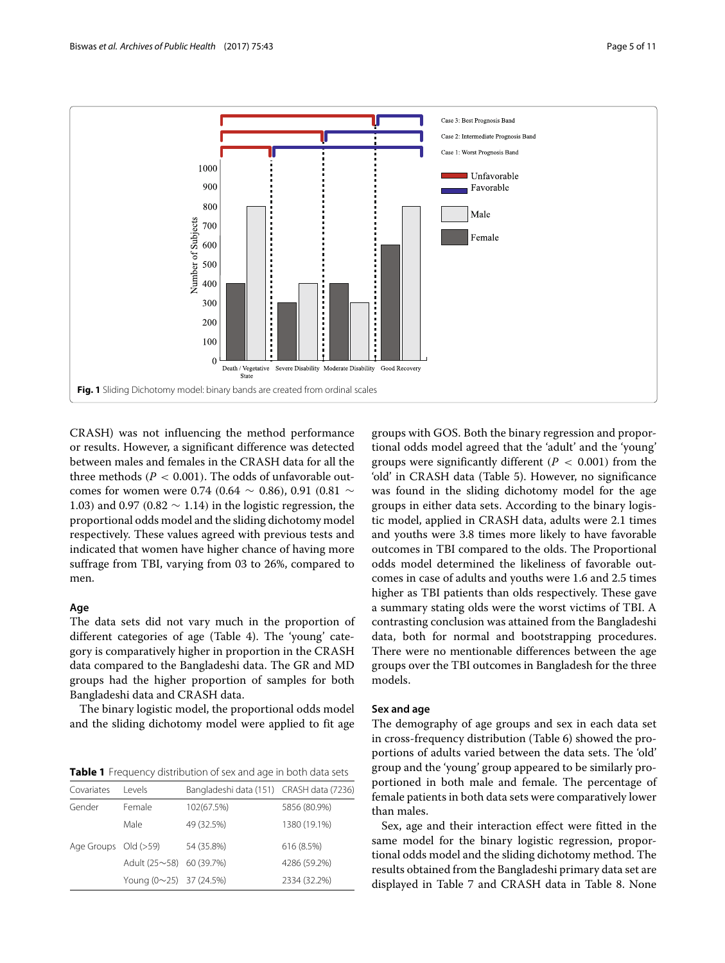

<span id="page-4-0"></span>CRASH) was not influencing the method performance or results. However, a significant difference was detected between males and females in the CRASH data for all the three methods  $(P < 0.001)$ . The odds of unfavorable outcomes for women were 0.74 (0.64  $\sim$  0.86), 0.91 (0.81  $\sim$ 1.03) and 0.97 (0.82  $\sim$  1.14) in the logistic regression, the proportional odds model and the sliding dichotomy model respectively. These values agreed with previous tests and indicated that women have higher chance of having more suffrage from TBI, varying from 03 to 26%, compared to men.

# **Age**

The data sets did not vary much in the proportion of different categories of age (Table [4\)](#page-6-0). The 'young' category is comparatively higher in proportion in the CRASH data compared to the Bangladeshi data. The GR and MD groups had the higher proportion of samples for both Bangladeshi data and CRASH data.

The binary logistic model, the proportional odds model and the sliding dichotomy model were applied to fit age

**Table 1** Frequency distribution of sex and age in both data sets

<span id="page-4-1"></span>

| Covariates           | l evels                  | Bangladeshi data (151) CRASH data (7236) |              |
|----------------------|--------------------------|------------------------------------------|--------------|
| Gender               | Female                   | 102(67.5%)                               | 5856 (80.9%) |
|                      | Male                     | 49 (32.5%)                               | 1380 (19.1%) |
| Age Groups Old (>59) |                          | 54 (35.8%)                               | 616 (8.5%)   |
|                      | Adult (25~58) 60 (39.7%) |                                          | 4286 (59.2%) |
|                      | Young (0~25) 37 (24.5%)  |                                          | 2334 (32.2%) |

groups with GOS. Both the binary regression and proportional odds model agreed that the 'adult' and the 'young' groups were significantly different  $(P < 0.001)$  from the 'old' in CRASH data (Table [5\)](#page-7-0). However, no significance was found in the sliding dichotomy model for the age groups in either data sets. According to the binary logistic model, applied in CRASH data, adults were 2.1 times and youths were 3.8 times more likely to have favorable outcomes in TBI compared to the olds. The Proportional odds model determined the likeliness of favorable outcomes in case of adults and youths were 1.6 and 2.5 times higher as TBI patients than olds respectively. These gave a summary stating olds were the worst victims of TBI. A contrasting conclusion was attained from the Bangladeshi data, both for normal and bootstrapping procedures. There were no mentionable differences between the age groups over the TBI outcomes in Bangladesh for the three models.

# **Sex and age**

The demography of age groups and sex in each data set in cross-frequency distribution (Table [6\)](#page-7-1) showed the proportions of adults varied between the data sets. The 'old' group and the 'young' group appeared to be similarly proportioned in both male and female. The percentage of female patients in both data sets were comparatively lower than males.

Sex, age and their interaction effect were fitted in the same model for the binary logistic regression, proportional odds model and the sliding dichotomy method. The results obtained from the Bangladeshi primary data set are displayed in Table [7](#page-7-2) and CRASH data in Table [8.](#page-7-3) None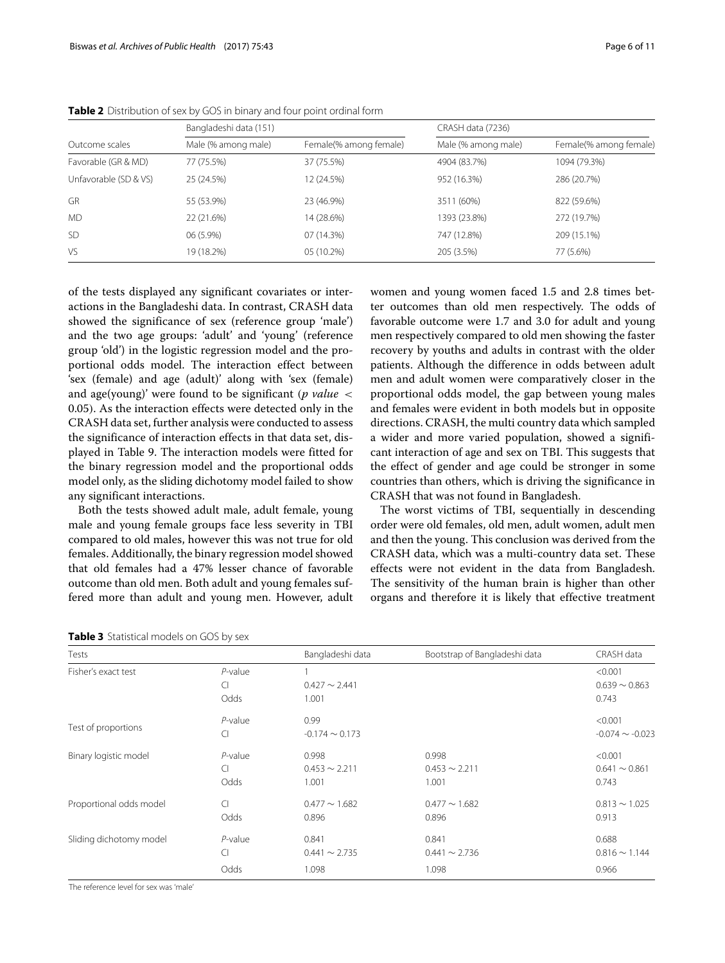|                       | Bangladeshi data (151) |                        | CRASH data (7236)   |                        |  |  |
|-----------------------|------------------------|------------------------|---------------------|------------------------|--|--|
| Outcome scales        | Male (% among male)    | Female(% among female) | Male (% among male) | Female(% among female) |  |  |
| Favorable (GR & MD)   | 77 (75.5%)             | 37 (75.5%)             | 4904 (83.7%)        | 1094 (79.3%)           |  |  |
| Unfavorable (SD & VS) | 25 (24.5%)             | 12 (24.5%)             | 952 (16.3%)         | 286 (20.7%)            |  |  |
| GR                    | 55 (53.9%)             | 23 (46.9%)             | 3511 (60%)          | 822 (59.6%)            |  |  |
| <b>MD</b>             | 22 (21.6%)             | 14 (28.6%)             | 1393 (23.8%)        | 272 (19.7%)            |  |  |
| <b>SD</b>             | 06 (5.9%)              | 07 (14.3%)             | 747 (12.8%)         | 209 (15.1%)            |  |  |
| VS                    | 19 (18.2%)             | 05 (10.2%)             | 205 (3.5%)          | 77 (5.6%)              |  |  |

<span id="page-5-0"></span>**Table 2** Distribution of sex by GOS in binary and four point ordinal form

of the tests displayed any significant covariates or interactions in the Bangladeshi data. In contrast, CRASH data showed the significance of sex (reference group 'male') and the two age groups: 'adult' and 'young' (reference group 'old') in the logistic regression model and the proportional odds model. The interaction effect between 'sex (female) and age (adult)' along with 'sex (female) and age(young)' were found to be significant (*p value* < 0.05). As the interaction effects were detected only in the CRASH data set, further analysis were conducted to assess the significance of interaction effects in that data set, displayed in Table [9.](#page-8-0) The interaction models were fitted for the binary regression model and the proportional odds model only, as the sliding dichotomy model failed to show any significant interactions.

Both the tests showed adult male, adult female, young male and young female groups face less severity in TBI compared to old males, however this was not true for old females. Additionally, the binary regression model showed that old females had a 47% lesser chance of favorable outcome than old men. Both adult and young females suffered more than adult and young men. However, adult

women and young women faced 1.5 and 2.8 times better outcomes than old men respectively. The odds of favorable outcome were 1.7 and 3.0 for adult and young men respectively compared to old men showing the faster recovery by youths and adults in contrast with the older patients. Although the difference in odds between adult men and adult women were comparatively closer in the proportional odds model, the gap between young males and females were evident in both models but in opposite directions. CRASH, the multi country data which sampled a wider and more varied population, showed a significant interaction of age and sex on TBI. This suggests that the effect of gender and age could be stronger in some countries than others, which is driving the significance in CRASH that was not found in Bangladesh.

The worst victims of TBI, sequentially in descending order were old females, old men, adult women, adult men and then the young. This conclusion was derived from the CRASH data, which was a multi-country data set. These effects were not evident in the data from Bangladesh. The sensitivity of the human brain is higher than other organs and therefore it is likely that effective treatment

<span id="page-5-1"></span>

|  |  | Table 3 Statistical models on GOS by sex |  |  |
|--|--|------------------------------------------|--|--|
|--|--|------------------------------------------|--|--|

| Tests                   |                          | Bangladeshi data            | Bootstrap of Bangladeshi data | CRASH data                             |
|-------------------------|--------------------------|-----------------------------|-------------------------------|----------------------------------------|
| Fisher's exact test     | $P$ -value<br>CI<br>Odds | $0.427 \sim 2.441$<br>1.001 |                               | < 0.001<br>$0.639 \sim 0.863$<br>0.743 |
| Test of proportions     | $P$ -value<br>CI         | 0.99<br>$-0.174 \sim 0.173$ |                               | < 0.001<br>$-0.074 \sim -0.023$        |
| Binary logistic model   | $P$ -value               | 0.998                       | 0.998                         | < 0.001                                |
|                         | CI                       | $0.453 \sim 2.211$          | $0.453 \sim 2.211$            | $0.641 \sim 0.861$                     |
|                         | Odds                     | 1.001                       | 1.001                         | 0.743                                  |
| Proportional odds model | CI                       | $0.477 \sim 1.682$          | $0.477 \sim 1.682$            | $0.813 \sim 1.025$                     |
|                         | Odds                     | 0.896                       | 0.896                         | 0.913                                  |
| Sliding dichotomy model | $P$ -value               | 0.841                       | 0.841                         | 0.688                                  |
|                         | CI                       | $0.441 \sim 2.735$          | $0.441 \sim 2.736$            | $0.816 \sim 1.144$                     |
|                         | Odds                     | 1.098                       | 1.098                         | 0.966                                  |

The reference level for sex was 'male'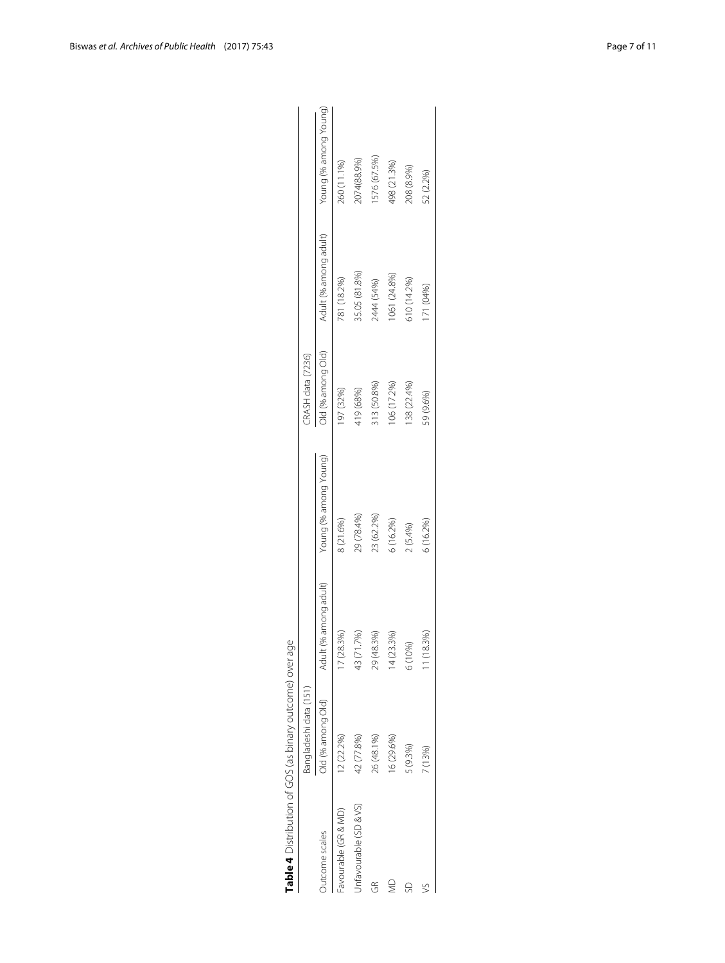|                        | Table 4 Distribution of GOS (as binary outcome) over age |                          |                       |                   |                       |                       |
|------------------------|----------------------------------------------------------|--------------------------|-----------------------|-------------------|-----------------------|-----------------------|
|                        | Bangladeshi data (151)                                   |                          |                       | CRASH data (7236) |                       |                       |
| Dutcome scales         | Old (% among Old)                                        | (% among adult)<br>Adult | Young (% among Young) | Jld (% among Old) | Adult (% among adult) | Young (% among Young) |
| Favourable (GR & MD)   | 12 (22.2%)                                               | 17(28.3%)                | 8 (21.6%)             | 197 (32%)         | 781 (18.2%)           | 260 (11.1%)           |
| Jnfavourable (SD & VS) | 42 (77.8%)                                               | .7%)<br>43 (71           | 29 (78.4%)            | 419 (68%)         | 35.05 (81.8%)         | 074(88.9%)            |
| E                      | 26 (48.1%)                                               | 29 (48.3%)               | 23 (62.2%)            | 313 (50.8%)       | 2444 (54%)            | 576 (67.5%)           |
| $\subseteq$            | 16 (29.6%)                                               | 14 (23.3%)               | 6 (16.2%)             | 106 (17.2%)       | 061 (24.8%)           | 498 (21.3%)           |
| S                      | 5 (9.3%)                                                 | 6 (10%)                  | (5.4%)                | 138(22.4%)        | 510 (14.2%)           | 208 (8.9%)            |
|                        | 7 (13%)                                                  | 11(18.3%)                | 6(16.2%)              | 59 (9.6%)         | 171 (04%)             | 52 (2.2%)             |
|                        |                                                          |                          |                       |                   |                       |                       |

<span id="page-6-0"></span>

| ¢<br>J<br>くい<br>Ī<br>١<br>١<br>ł<br>Ì<br>١ |
|--------------------------------------------|
| $\frac{1}{2}$<br>١<br>I<br>i<br>Ì          |
| S<br>I<br>ţ<br>ţ<br>١<br>¢<br>١            |
| ţ<br>١<br>١<br>١<br>I<br>I<br>١<br>¢       |
| Ś<br>I<br>i                                |
| ı<br>r<br>Ï                                |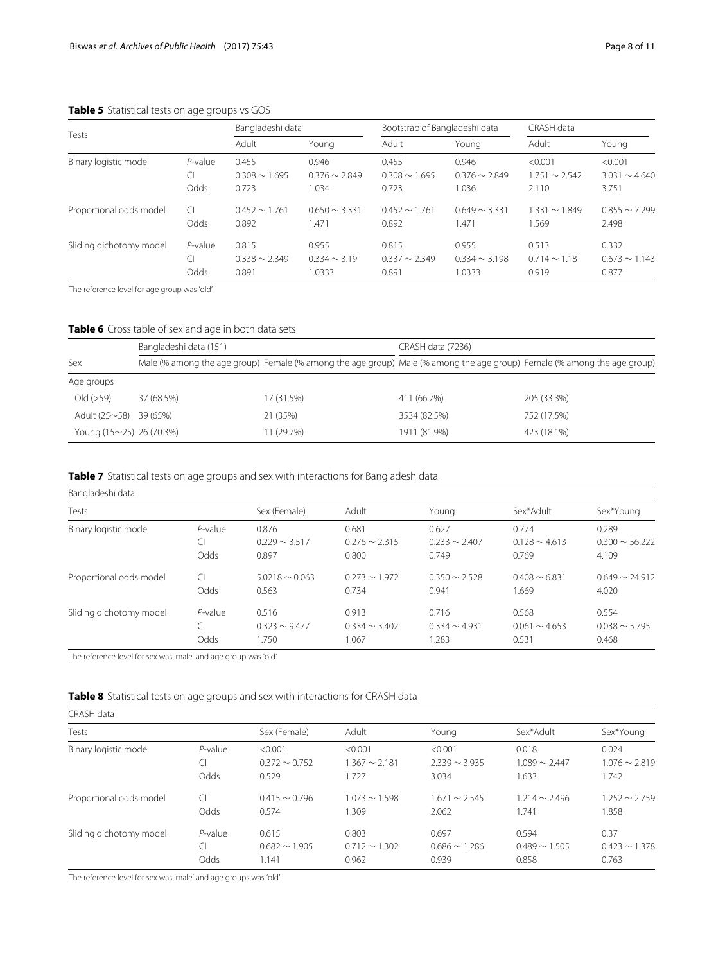# **Table 5** Statistical tests on age groups vs GOS

<span id="page-7-0"></span>

| Tests                   |                    | Bangladeshi data                     |                                      | Bootstrap of Bangladeshi data        |                                       | CRASH data                             |                                        |
|-------------------------|--------------------|--------------------------------------|--------------------------------------|--------------------------------------|---------------------------------------|----------------------------------------|----------------------------------------|
|                         |                    | Adult                                | Young                                | Adult                                | Young                                 | Adult                                  | Young                                  |
| Binary logistic model   | $P$ -value<br>Odds | 0.455<br>$0.308 \sim 1.695$<br>0.723 | 0.946<br>$0.376 \sim 2.849$<br>1.034 | 0.455<br>$0.308 \sim 1.695$<br>0.723 | 0.946<br>$0.376 \sim 2.849$<br>1.036  | < 0.001<br>$1.751 \sim 2.542$<br>2.110 | < 0.001<br>$3.031 \sim 4.640$<br>3.751 |
| Proportional odds model | C<br>Odds          | $0.452 \sim 1.761$<br>0.892          | $0.650 \sim 3.331$<br>1.471          | $0.452 \sim 1.761$<br>0.892          | $0.649 \sim 3.331$<br>1.471           | $1.331 \sim 1.849$<br>1.569            | $0.855 \sim 7.299$<br>2.498            |
| Sliding dichotomy model | $P$ -value<br>Odds | 0.815<br>$0.338 \sim 2.349$<br>0.891 | 0.955<br>$0.334 \sim 3.19$<br>1.0333 | 0.815<br>$0.337 \sim 2.349$<br>0.891 | 0.955<br>$0.334 \sim 3.198$<br>1.0333 | 0.513<br>$0.714 \sim 1.18$<br>0.919    | 0.332<br>$0.673 \sim 1.143$<br>0.877   |

The reference level for age group was 'old'

# **Table 6** Cross table of sex and age in both data sets

<span id="page-7-1"></span>

|                               | Bangladeshi data (151) |                                                                                                                         | CRASH data (7236) |             |  |
|-------------------------------|------------------------|-------------------------------------------------------------------------------------------------------------------------|-------------------|-------------|--|
| Sex                           |                        | Male (% among the age group) Female (% among the age group) Male (% among the age group) Female (% among the age group) |                   |             |  |
| Age groups                    |                        |                                                                                                                         |                   |             |  |
| Old (>59)                     | 37 (68.5%)             | 17 (31.5%)                                                                                                              | 411 (66.7%)       | 205 (33.3%) |  |
| Adult $(25 \sim 58)$ 39 (65%) |                        | 21 (35%)                                                                                                                | 3534 (82.5%)      | 752 (17.5%) |  |
| Young (15~25) 26 (70.3%)      |                        | 11 (29.7%)                                                                                                              | 1911 (81.9%)      | 423 (18.1%) |  |

# **Table 7** Statistical tests on age groups and sex with interactions for Bangladesh data

<span id="page-7-2"></span>

| Bangladeshi data        |            |                     |                    |                    |                    |                     |
|-------------------------|------------|---------------------|--------------------|--------------------|--------------------|---------------------|
| Tests                   |            | Sex (Female)        | Adult              | Young              | Sex*Adult          | Sex*Young           |
| Binary logistic model   | $P$ -value | 0.876               | 0.681              | 0.627              | 0.774              | 0.289               |
|                         | CI         | $0.229 \sim 3.517$  | $0.276 \sim 2.315$ | $0.233 \sim 2.407$ | $0.128 \sim 4.613$ | $0.300 \sim 56.222$ |
|                         | Odds       | 0.897               | 0.800              | 0.749              | 0.769              | 4.109               |
| Proportional odds model | CI         | $5.0218 \sim 0.063$ | $0.273 \sim 1.972$ | $0.350 \sim 2.528$ | $0.408 \sim 6.831$ | $0.649 \sim 24.912$ |
|                         | Odds       | 0.563               | 0.734              | 0.941              | 1.669              | 4.020               |
| Sliding dichotomy model | $P$ -value | 0.516               | 0.913              | 0.716              | 0.568              | 0.554               |
|                         | CI         | $0.323 \sim 9.477$  | $0.334 \sim 3.402$ | $0.334 \sim 4.931$ | $0.061 \sim 4.653$ | $0.038 \sim 5.795$  |
|                         | Odds       | 1.750               | 1.067              | 1.283              | 0.531              | 0.468               |

The reference level for sex was 'male' and age group was 'old'

<span id="page-7-3"></span>

|  |  |  |  | Table 8 Statistical tests on age groups and sex with interactions for CRASH data |
|--|--|--|--|----------------------------------------------------------------------------------|
|--|--|--|--|----------------------------------------------------------------------------------|

| CRASH data              |                          |                                        |                                        |                                        |                                      |                                      |
|-------------------------|--------------------------|----------------------------------------|----------------------------------------|----------------------------------------|--------------------------------------|--------------------------------------|
| Tests                   |                          | Sex (Female)                           | Adult                                  | Young                                  | Sex*Adult                            | Sex*Young                            |
| Binary logistic model   | $P$ -value<br>CI<br>Odds | < 0.001<br>$0.372 \sim 0.752$<br>0.529 | < 0.001<br>$1.367 \sim 2.181$<br>1.727 | < 0.001<br>$2.339 \sim 3.935$<br>3.034 | 0.018<br>$1.089 \sim 2.447$<br>1.633 | 0.024<br>$1.076 \sim 2.819$<br>1.742 |
| Proportional odds model | Odds                     | $0.415 \sim 0.796$<br>0.574            | $1.073 \sim 1.598$<br>1.309            | $1.671 \sim 2.545$<br>2.062            | $1.214 \sim 2.496$<br>1.741          | $1.252 \sim 2.759$<br>1.858          |
| Sliding dichotomy model | $P$ -value<br>CI<br>Odds | 0.615<br>$0.682 \sim 1.905$<br>1.141   | 0.803<br>$0.712 \sim 1.302$<br>0.962   | 0.697<br>$0.686 \sim 1.286$<br>0.939   | 0.594<br>$0.489 \sim 1.505$<br>0.858 | 0.37<br>$0.423 \sim 1.378$<br>0.763  |

The reference level for sex was 'male' and age groups was 'old'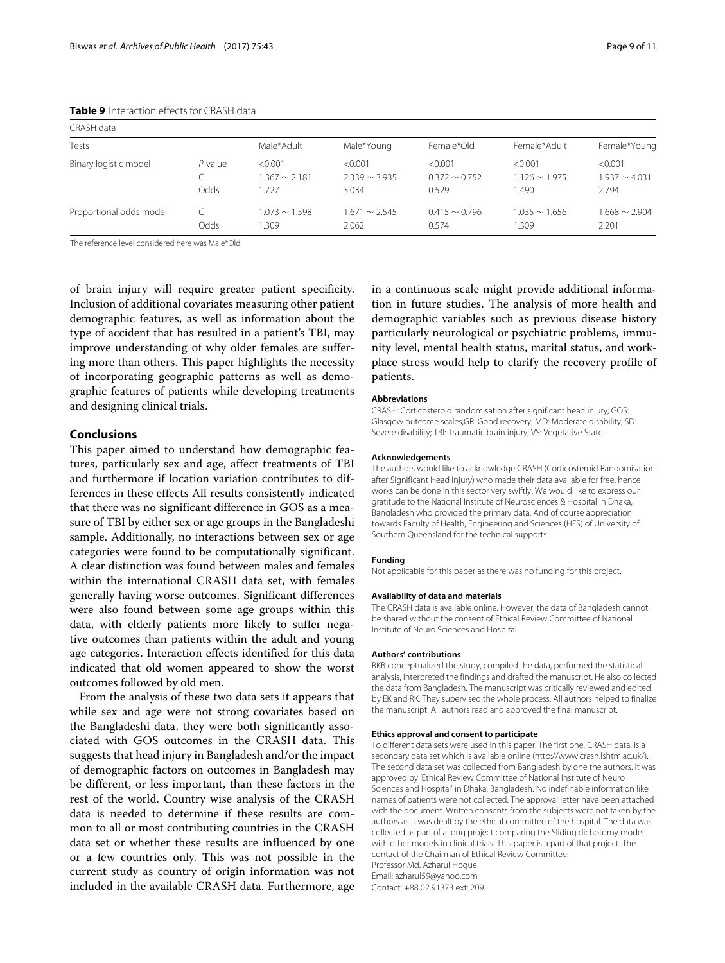<span id="page-8-0"></span>**Table 9** Interaction effects for CRASH data

| Page 9 of |  |
|-----------|--|
|-----------|--|

| CRASH data              |            |                    |                    |                    |                    |                    |
|-------------------------|------------|--------------------|--------------------|--------------------|--------------------|--------------------|
| Tests                   |            | Male*Adult         | Male*Young         | Female*Old         | Female*Adult       | Female*Young       |
| Binary logistic model   | $P$ -value | < 0.001            | < 0.001            | < 0.001            | < 0.001            | < 0.001            |
|                         | CL         | $367 \sim 2.181$   | $2.339 \sim 3.935$ | $0.372 \sim 0.752$ | $1.126 \sim 1.975$ | $1.937 \sim 4.031$ |
|                         | Odds       | .727               | 3.034              | 0.529              | 1.490              | 2.794              |
| Proportional odds model | a          | $1.073 \sim 1.598$ | $1.671 \sim 2.545$ | $0.415 \sim 0.796$ | $1.035 \sim 1.656$ | $.668 \sim 2.904$  |
|                         | Odds       | .309               | 2.062              | 0.574              | 1.309              | 2.201              |

The reference level considered here was Male\*Old

of brain injury will require greater patient specificity. Inclusion of additional covariates measuring other patient demographic features, as well as information about the type of accident that has resulted in a patient's TBI, may improve understanding of why older females are suffering more than others. This paper highlights the necessity of incorporating geographic patterns as well as demographic features of patients while developing treatments and designing clinical trials.

## **Conclusions**

This paper aimed to understand how demographic features, particularly sex and age, affect treatments of TBI and furthermore if location variation contributes to differences in these effects All results consistently indicated that there was no significant difference in GOS as a measure of TBI by either sex or age groups in the Bangladeshi sample. Additionally, no interactions between sex or age categories were found to be computationally significant. A clear distinction was found between males and females within the international CRASH data set, with females generally having worse outcomes. Significant differences were also found between some age groups within this data, with elderly patients more likely to suffer negative outcomes than patients within the adult and young age categories. Interaction effects identified for this data indicated that old women appeared to show the worst outcomes followed by old men.

From the analysis of these two data sets it appears that while sex and age were not strong covariates based on the Bangladeshi data, they were both significantly associated with GOS outcomes in the CRASH data. This suggests that head injury in Bangladesh and/or the impact of demographic factors on outcomes in Bangladesh may be different, or less important, than these factors in the rest of the world. Country wise analysis of the CRASH data is needed to determine if these results are common to all or most contributing countries in the CRASH data set or whether these results are influenced by one or a few countries only. This was not possible in the current study as country of origin information was not included in the available CRASH data. Furthermore, age

in a continuous scale might provide additional information in future studies. The analysis of more health and demographic variables such as previous disease history particularly neurological or psychiatric problems, immunity level, mental health status, marital status, and workplace stress would help to clarify the recovery profile of patients.

#### **Abbreviations**

CRASH: Corticosteroid randomisation after significant head injury; GOS: Glasgow outcome scales;GR: Good recovery; MD: Moderate disability; SD: Severe disability; TBI: Traumatic brain injury; VS: Vegetative State

#### **Acknowledgements**

The authors would like to acknowledge CRASH (Corticosteroid Randomisation after Significant Head Injury) who made their data available for free, hence works can be done in this sector very swiftly. We would like to express our gratitude to the National Institute of Neurosciences & Hospital in Dhaka, Bangladesh who provided the primary data. And of course appreciation towards Faculty of Health, Engineering and Sciences (HES) of University of Southern Queensland for the technical supports.

#### **Funding**

Not applicable for this paper as there was no funding for this project.

#### **Availability of data and materials**

The CRASH data is available online. However, the data of Bangladesh cannot be shared without the consent of Ethical Review Committee of National Institute of Neuro Sciences and Hospital.

#### **Authors' contributions**

RKB conceptualized the study, compiled the data, performed the statistical analysis, interpreted the findings and drafted the manuscript. He also collected the data from Bangladesh. The manuscript was critically reviewed and edited by EK and RK. They supervised the whole process. All authors helped to finalize the manuscript. All authors read and approved the final manuscript.

#### **Ethics approval and consent to participate**

To different data sets were used in this paper. The first one, CRASH data, is a secondary data set which is available online (http://www.crash.lshtm.ac.uk/). The second data set was collected from Bangladesh by one the authors. It was approved by 'Ethical Review Committee of National Institute of Neuro Sciences and Hospital' in Dhaka, Bangladesh. No indefinable information like names of patients were not collected. The approval letter have been attached with the document. Written consents from the subjects were not taken by the authors as it was dealt by the ethical committee of the hospital. The data was collected as part of a long project comparing the Sliding dichotomy model with other models in clinical trials. This paper is a part of that project. The contact of the Chairman of Ethical Review Committee: Professor Md. Azharul Hoque Email: azharul59@yahoo.com Contact: +88 02 91373 ext: 209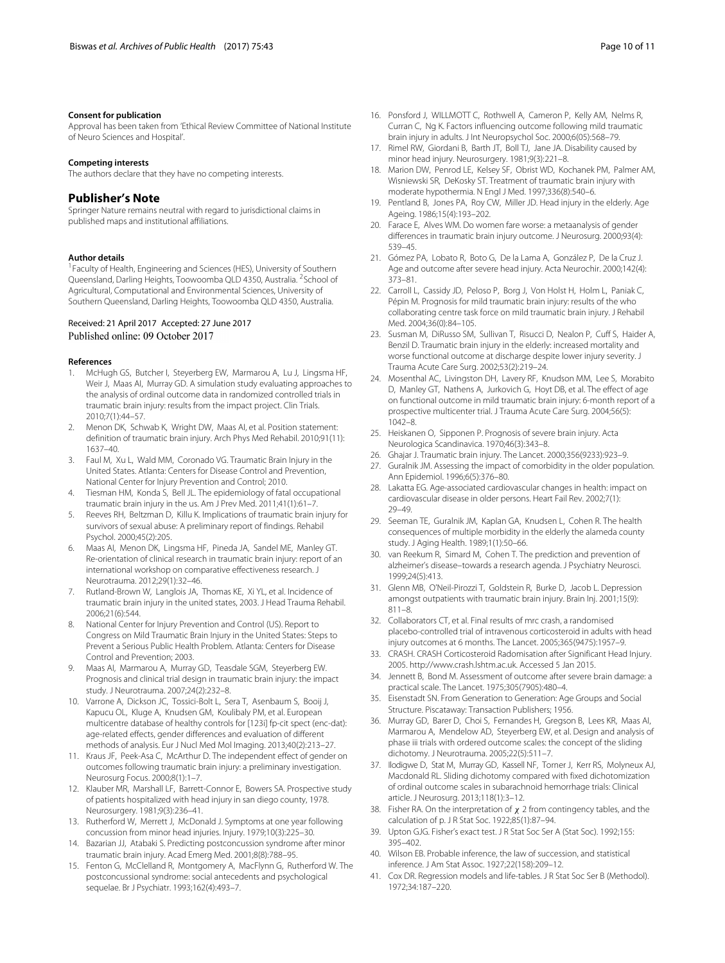#### **Consent for publication**

Approval has been taken from 'Ethical Review Committee of National Institute of Neuro Sciences and Hospital'.

#### **Competing interests**

The authors declare that they have no competing interests.

## **Publisher's Note**

Springer Nature remains neutral with regard to jurisdictional claims in published maps and institutional affiliations.

#### **Author details**

<sup>1</sup> Faculty of Health, Engineering and Sciences (HES), University of Southern Queensland, Darling Heights, Toowoomba QLD 4350, Australia. <sup>2</sup> School of Agricultural, Computational and Environmental Sciences, University of Southern Queensland, Darling Heights, Toowoomba QLD 4350, Australia.

# Received: 21 April 2017 Accepted: 27 June 2017 Published online: 09 October 2017

#### **References**

- <span id="page-9-0"></span>1. McHugh GS, Butcher I, Steyerberg EW, Marmarou A, Lu J, Lingsma HF, Weir J, Maas AI, Murray GD. A simulation study evaluating approaches to the analysis of ordinal outcome data in randomized controlled trials in traumatic brain injury: results from the impact project. Clin Trials. 2010;7(1):44–57.
- <span id="page-9-1"></span>2. Menon DK, Schwab K, Wright DW, Maas AI, et al. Position statement: definition of traumatic brain injury. Arch Phys Med Rehabil. 2010;91(11): 1637–40.
- <span id="page-9-2"></span>Faul M, Xu L, Wald MM, Coronado VG. Traumatic Brain Injury in the United States. Atlanta: Centers for Disease Control and Prevention, National Center for Injury Prevention and Control; 2010.
- <span id="page-9-3"></span>Tiesman HM, Konda S, Bell JL. The epidemiology of fatal occupational traumatic brain injury in the us. Am J Prev Med. 2011;41(1):61–7.
- <span id="page-9-4"></span>5. Reeves RH, Beltzman D, Killu K. Implications of traumatic brain injury for survivors of sexual abuse: A preliminary report of findings. Rehabil Psychol. 2000;45(2):205.
- <span id="page-9-5"></span>Maas AI, Menon DK, Lingsma HF, Pineda JA, Sandel ME, Manley GT. Re-orientation of clinical research in traumatic brain injury: report of an international workshop on comparative effectiveness research. J Neurotrauma. 2012;29(1):32–46.
- <span id="page-9-6"></span>7. Rutland-Brown W, Langlois JA, Thomas KE, Xi YL, et al. Incidence of traumatic brain injury in the united states, 2003. J Head Trauma Rehabil. 2006;21(6):544.
- <span id="page-9-7"></span>8. National Center for Injury Prevention and Control (US). Report to Congress on Mild Traumatic Brain Injury in the United States: Steps to Prevent a Serious Public Health Problem. Atlanta: Centers for Disease Control and Prevention; 2003.
- <span id="page-9-8"></span>9. Maas AI, Marmarou A, Murray GD, Teasdale SGM, Steyerberg EW. Prognosis and clinical trial design in traumatic brain injury: the impact study. J Neurotrauma. 2007;24(2):232–8.
- <span id="page-9-9"></span>10. Varrone A, Dickson JC, Tossici-Bolt L, Sera T, Asenbaum S, Booij J, Kapucu OL, Kluge A, Knudsen GM, Koulibaly PM, et al. European multicentre database of healthy controls for [123i] fp-cit spect (enc-dat): age-related effects, gender differences and evaluation of different methods of analysis. Eur J Nucl Med Mol Imaging. 2013;40(2):213–27.
- <span id="page-9-10"></span>11. Kraus JF, Peek-Asa C, McArthur D. The independent effect of gender on outcomes following traumatic brain injury: a preliminary investigation. Neurosurg Focus. 2000;8(1):1–7.
- <span id="page-9-11"></span>12. Klauber MR, Marshall LF, Barrett-Connor E, Bowers SA. Prospective study of patients hospitalized with head injury in san diego county, 1978. Neurosurgery. 1981;9(3):236–41.
- <span id="page-9-12"></span>13. Rutherford W, Merrett J, McDonald J. Symptoms at one year following concussion from minor head injuries. Injury. 1979;10(3):225–30.
- <span id="page-9-13"></span>14. Bazarian JJ, Atabaki S. Predicting postconcussion syndrome after minor traumatic brain injury. Acad Emerg Med. 2001;8(8):788–95.
- 15. Fenton G, McClelland R, Montgomery A, MacFlynn G, Rutherford W. The postconcussional syndrome: social antecedents and psychological sequelae. Br J Psychiatr. 1993;162(4):493–7.
- <span id="page-9-14"></span>16. Ponsford J, WILLMOTT C, Rothwell A, Cameron P, Kelly AM, Nelms R, Curran C, Ng K. Factors influencing outcome following mild traumatic brain injury in adults. J Int Neuropsychol Soc. 2000;6(05):568–79.
- <span id="page-9-15"></span>17. Rimel RW, Giordani B, Barth JT, Boll TJ, Jane JA. Disability caused by minor head injury. Neurosurgery. 1981;9(3):221–8.
- <span id="page-9-16"></span>18. Marion DW, Penrod LE, Kelsey SF, Obrist WD, Kochanek PM, Palmer AM, Wisniewski SR, DeKosky ST. Treatment of traumatic brain injury with moderate hypothermia. N Engl J Med. 1997;336(8):540–6.
- <span id="page-9-17"></span>19. Pentland B, Jones PA, Roy CW, Miller JD. Head injury in the elderly. Age Ageing. 1986;15(4):193–202.
- <span id="page-9-18"></span>20. Farace E, Alves WM. Do women fare worse: a metaanalysis of gender differences in traumatic brain injury outcome. J Neurosurg. 2000;93(4): 539–45.
- <span id="page-9-19"></span>21. Gómez PA, Lobato R, Boto G, De la Lama A, González P, De la Cruz J. Age and outcome after severe head injury. Acta Neurochir. 2000;142(4): 373–81.
- <span id="page-9-20"></span>22. Carroll L, Cassidy JD, Peloso P, Borg J, Von Holst H, Holm L, Paniak C, Pépin M. Prognosis for mild traumatic brain injury: results of the who collaborating centre task force on mild traumatic brain injury. J Rehabil Med. 2004;36(0):84–105.
- <span id="page-9-21"></span>23. Susman M, DiRusso SM, Sullivan T, Risucci D, Nealon P, Cuff S, Haider A, Benzil D. Traumatic brain injury in the elderly: increased mortality and worse functional outcome at discharge despite lower injury severity. J Trauma Acute Care Surg. 2002;53(2):219–24.
- <span id="page-9-22"></span>24. Mosenthal AC, Livingston DH, Lavery RF, Knudson MM, Lee S, Morabito D, Manley GT, Nathens A, Jurkovich G, Hoyt DB, et al. The effect of age on functional outcome in mild traumatic brain injury: 6-month report of a prospective multicenter trial. J Trauma Acute Care Surg. 2004;56(5): 1042–8.
- <span id="page-9-23"></span>25. Heiskanen O, Sipponen P. Prognosis of severe brain injury. Acta Neurologica Scandinavica. 1970;46(3):343–8.
- <span id="page-9-24"></span>26. Ghajar J. Traumatic brain injury. The Lancet. 2000;356(9233):923–9.
- <span id="page-9-25"></span>27. Guralnik JM. Assessing the impact of comorbidity in the older population. Ann Epidemiol. 1996;6(5):376–80.
- <span id="page-9-26"></span>28. Lakatta EG. Age-associated cardiovascular changes in health: impact on cardiovascular disease in older persons. Heart Fail Rev. 2002;7(1): 29–49.
- <span id="page-9-27"></span>29. Seeman TE, Guralnik JM, Kaplan GA, Knudsen L, Cohen R. The health consequences of multiple morbidity in the elderly the alameda county study. J Aging Health. 1989;1(1):50–66.
- <span id="page-9-28"></span>30. van Reekum R, Simard M, Cohen T. The prediction and prevention of alzheimer's disease–towards a research agenda. J Psychiatry Neurosci. 1999;24(5):413.
- <span id="page-9-29"></span>31. Glenn MB, O'Neil-Pirozzi T, Goldstein R, Burke D, Jacob L. Depression amongst outpatients with traumatic brain injury. Brain Inj. 2001;15(9): 811–8.
- <span id="page-9-30"></span>32. Collaborators CT, et al. Final results of mrc crash, a randomised placebo-controlled trial of intravenous corticosteroid in adults with head injury outcomes at 6 months. The Lancet. 2005;365(9475):1957–9.
- <span id="page-9-31"></span>33. CRASH. CRASH Corticosteroid Radomisation after Significant Head Injury. 2005. [http://www.crash.lshtm.ac.uk.](http://www.crash.lshtm.ac.uk) Accessed 5 Jan 2015.
- <span id="page-9-32"></span>34. Jennett B, Bond M. Assessment of outcome after severe brain damage: a practical scale. The Lancet. 1975;305(7905):480–4.
- <span id="page-9-33"></span>35. Eisenstadt SN. From Generation to Generation: Age Groups and Social Structure. Piscataway: Transaction Publishers; 1956.
- <span id="page-9-34"></span>36. Murray GD, Barer D, Choi S, Fernandes H, Gregson B, Lees KR, Maas AI, Marmarou A, Mendelow AD, Steyerberg EW, et al. Design and analysis of phase iii trials with ordered outcome scales: the concept of the sliding dichotomy. J Neurotrauma. 2005;22(5):511–7.
- <span id="page-9-35"></span>37. Ilodigwe D, Stat M, Murray GD, Kassell NF, Torner J, Kerr RS, Molyneux AJ, Macdonald RL. Sliding dichotomy compared with fixed dichotomization of ordinal outcome scales in subarachnoid hemorrhage trials: Clinical article. J Neurosurg. 2013;118(1):3–12.
- <span id="page-9-36"></span>38. Fisher RA. On the interpretation of  $\chi$  2 from contingency tables, and the calculation of p. J R Stat Soc. 1922;85(1):87–94.
- <span id="page-9-37"></span>39. Upton GJG. Fisher's exact test. J R Stat Soc Ser A (Stat Soc). 1992;155: 395–402.
- <span id="page-9-38"></span>40. Wilson EB. Probable inference, the law of succession, and statistical inference. J Am Stat Assoc. 1927;22(158):209–12.
- <span id="page-9-39"></span>41. Cox DR. Regression models and life-tables. J R Stat Soc Ser B (Methodol). 1972;34:187–220.